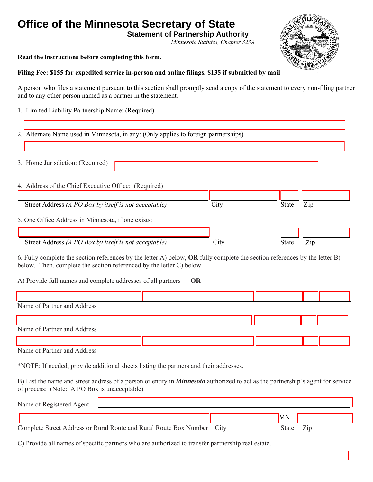# **Office of the Minnesota Secretary of State**

**Statement of Partnership Authority**

*Minnesota Statutes, Chapter 323A* 

#### **Read the instructions before completing this form.**

#### **Filing Fee: \$155 for expedited service in-person and online filings, \$135 if submitted by mail**

 A person who files a statement pursuant to this section shall promptly send a copy of the statement to every non-filing partner and to any other person named as a partner in the statement.

1. Limited Liability Partnership Name: (Required)

2. Alternate Name used in Minnesota, in any: (Only applies to foreign partnerships)

 $\overline{\phantom{a}}$ 3. Home Jurisdiction: (Required) 4. Address of the Chief Executive Office: (Required) Street Address *(A PO Box by itself is not acceptable)* City City State Zip 5. One Office Address in Minnesota, if one exists: Street Address *(A PO Box by itself is not acceptable)* City City State Zip

6. Fully complete the section references by the letter A) below, **OR** fully complete the section references by the letter B) below. Then, complete the section referenced by the letter C) below.

A) Provide full names and complete addresses of all partners — **OR** —

| Name of Partner and Address |  |  |  |  |  |  |  |  |  |
|-----------------------------|--|--|--|--|--|--|--|--|--|
|                             |  |  |  |  |  |  |  |  |  |
| Name of Partner and Address |  |  |  |  |  |  |  |  |  |
|                             |  |  |  |  |  |  |  |  |  |

Name of Partner and Address

\*NOTE: If needed, provide additional sheets listing the partners and their addresses.

B) List the name and street address of a person or entity in *Minnesota* authorized to act as the partnership's agent for service of process: (Note: A PO Box is unacceptable)

| Name of Registered Agent                                                                          |              |     |  |  |  |  |  |  |  |
|---------------------------------------------------------------------------------------------------|--------------|-----|--|--|--|--|--|--|--|
|                                                                                                   | <b>IMN</b>   |     |  |  |  |  |  |  |  |
| Complete Street Address or Rural Route and Rural Route Box Number City                            | <b>State</b> | Zip |  |  |  |  |  |  |  |
| C) Provide all names of specific partners who are authorized to transfer partnership real estate. |              |     |  |  |  |  |  |  |  |
|                                                                                                   |              |     |  |  |  |  |  |  |  |

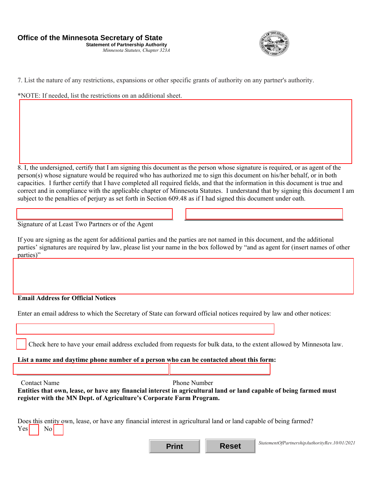

7. List the nature of any restrictions, expansions or other specific grants of authority on any partner's authority.

\*NOTE: If needed, list the restrictions on an additional sheet.

8. I, the undersigned, certify that I am signing this document as the person whose signature is required, or as agent of the person(s) whose signature would be required who has authorized me to sign this document on his/her behalf, or in both capacities. I further certify that I have completed all required fields, and that the information in this document is true and correct and in compliance with the applicable chapter of Minnesota Statutes. I understand that by signing this document I am subject to the penalties of perjury as set forth in Section 609.48 as if I had signed this document under oath.

Signature of at Least Two Partners or of the Agent

If you are signing as the agent for additional parties and the parties are not named in this document, and the additional parties' signatures are required by law, please list your name in the box followed by "and as agent for (insert names of other parties)"

## **Email Address for Official Notices**

Enter an email address to which the Secretary of State can forward official notices required by law and other notices:

Check here to have your email address excluded from requests for bulk data, to the extent allowed by Minnesota law.

#### **List a name and daytime phone number of a person who can be contacted about this form:**

 $\overline{a}$ 

Contact Name **Phone Number** 

**Entities that own, lease, or have any financial interest in agricultural land or land capable of being farmed must register with the MN Dept. of Agriculture's Corporate Farm Program.** 

|  |                                          |  |  | Does this entity own, lease, or have any financial interest in agricultural land or land capable of being farmed? |  |  |  |
|--|------------------------------------------|--|--|-------------------------------------------------------------------------------------------------------------------|--|--|--|
|  | $Yes \nightharpoonup No \nightharpoonup$ |  |  |                                                                                                                   |  |  |  |